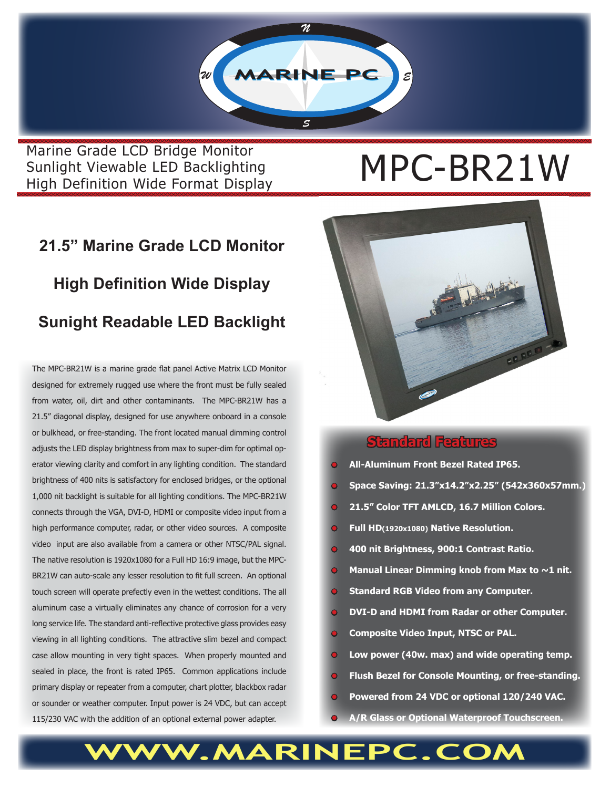

Marine Grade LCD Bridge Monitor<br>Sunlight Viewable LED Backlighting<br>Wirely B. G. Wirely E. Wirely E. Wirely E. Wirely E. Wirely E. Wirely E. Wirely E. Sunlight Viewable LED Backlighting High Definition Wide Format Display

## **21.5" Marine Grade LCD Monitor High Definition Wide Display Sunight Readable LED Backlight**

The MPC-BR21W is a marine grade flat panel Active Matrix LCD Monitor designed for extremely rugged use where the front must be fully sealed from water, oil, dirt and other contaminants. The MPC-BR21W has a 21.5" diagonal display, designed for use anywhere onboard in a console or bulkhead, or free-standing. The front located manual dimming control adjusts the LED display brightness from max to super-dim for optimal operator viewing clarity and comfort in any lighting condition. The standard brightness of 400 nits is satisfactory for enclosed bridges, or the optional 1,000 nit backlight is suitable for all lighting conditions. The MPC-BR21W connects through the VGA, DVI-D, HDMI or composite video input from a high performance computer, radar, or other video sources. A composite video input are also available from a camera or other NTSC/PAL signal. The native resolution is 1920x1080 for a Full HD 16:9 image, but the MPC-BR21W can auto-scale any lesser resolution to fit full screen. An optional touch screen will operate prefectly even in the wettest conditions. The all aluminum case a virtually eliminates any chance of corrosion for a very long service life. The standard anti-reflective protective glass provides easy viewing in all lighting conditions. The attractive slim bezel and compact case allow mounting in very tight spaces. When properly mounted and sealed in place, the front is rated IP65. Common applications include primary display or repeater from a computer, chart plotter, blackbox radar or sounder or weather computer. Input power is 24 VDC, but can accept 115/230 VAC with the addition of an optional external power adapter.



#### **Standard Features**

- **• All-Aluminum Front Bezel Rated IP65.**
- **• Space Saving: 21.3"x14.2"x2.25" (542x360x57mm.)**
- **• 21.5" Color TFT AMLCD, 16.7 Million Colors.**
- **• Full HD(1920x1080) Native Resolution.**
- **400 nit Brightness, 900:1 Contrast Ratio.**
- **Manual Linear Dimming knob from Max to ~1 nit.**
- **• Standard RGB Video from any Computer.**
- **• DVI-D and HDMI from Radar or other Computer.**
- **• Composite Video Input, NTSC or PAL.**
- **• Low power (40w. max) and wide operating temp.**
- **• Flush Bezel for Console Mounting, or free-standing.**
- **• Powered from 24 VDC or optional 120/240 VAC.**
- **• A/R Glass or Optional Waterproof Touchscreen.**

### WW.MARINEPC.CO